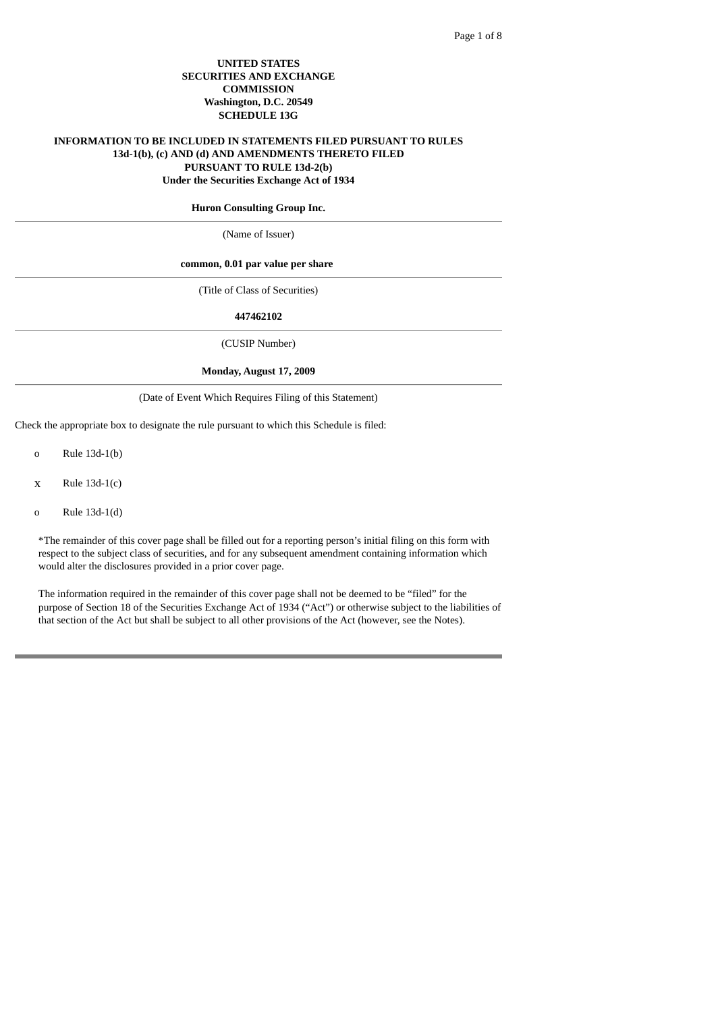### **UNITED STATES SECURITIES AND EXCHANGE COMMISSION Washington, D.C. 20549 SCHEDULE 13G**

### **INFORMATION TO BE INCLUDED IN STATEMENTS FILED PURSUANT TO RULES 13d-1(b), (c) AND (d) AND AMENDMENTS THERETO FILED PURSUANT TO RULE 13d-2(b) Under the Securities Exchange Act of 1934**

#### **Huron Consulting Group Inc.**

(Name of Issuer)

### **common, 0.01 par value per share**

(Title of Class of Securities)

#### **447462102**

(CUSIP Number)

#### **Monday, August 17, 2009**

#### (Date of Event Which Requires Filing of this Statement)

Check the appropriate box to designate the rule pursuant to which this Schedule is filed:

- o Rule 13d-1(b)
- $x$  Rule 13d-1(c)
- o Rule 13d-1(d)

\*The remainder of this cover page shall be filled out for a reporting person's initial filing on this form with respect to the subject class of securities, and for any subsequent amendment containing information which would alter the disclosures provided in a prior cover page.

The information required in the remainder of this cover page shall not be deemed to be "filed" for the purpose of Section 18 of the Securities Exchange Act of 1934 ("Act") or otherwise subject to the liabilities of that section of the Act but shall be subject to all other provisions of the Act (however, see the Notes).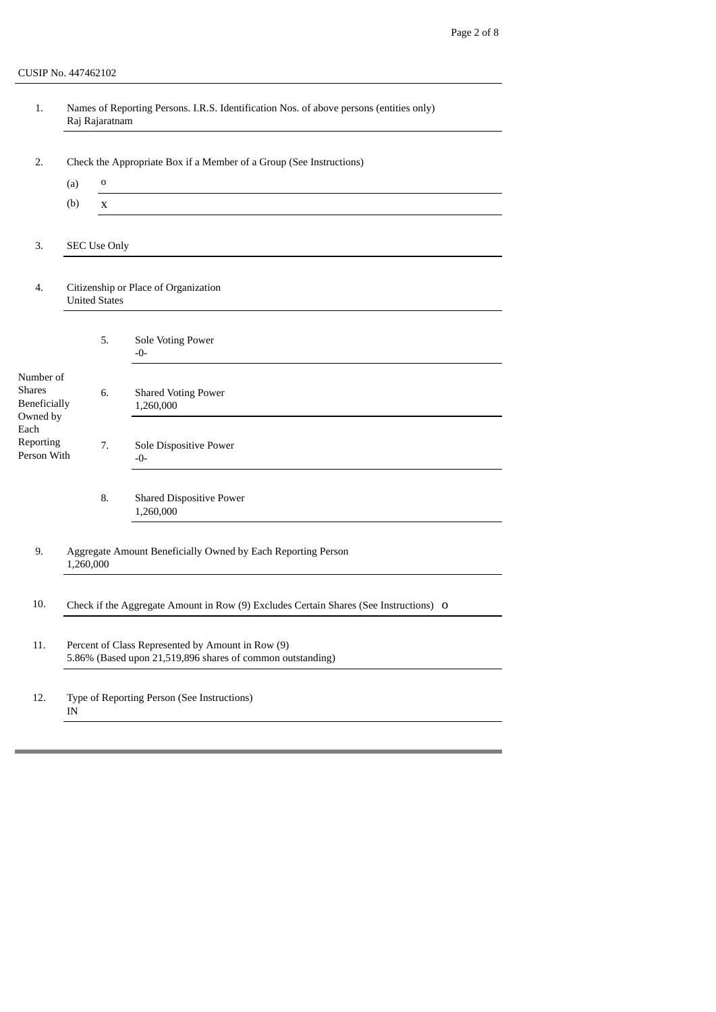| 1.                                                     |                                                                     | Raj Rajaratnam      | Names of Reporting Persons. I.R.S. Identification Nos. of above persons (entities only)                         |  |  |  |
|--------------------------------------------------------|---------------------------------------------------------------------|---------------------|-----------------------------------------------------------------------------------------------------------------|--|--|--|
| 2.                                                     | Check the Appropriate Box if a Member of a Group (See Instructions) |                     |                                                                                                                 |  |  |  |
|                                                        | (a)                                                                 | 0                   |                                                                                                                 |  |  |  |
|                                                        | (b)                                                                 | X                   |                                                                                                                 |  |  |  |
| 3.                                                     |                                                                     | <b>SEC Use Only</b> |                                                                                                                 |  |  |  |
| 4.                                                     | Citizenship or Place of Organization<br><b>United States</b>        |                     |                                                                                                                 |  |  |  |
|                                                        |                                                                     | 5.                  | Sole Voting Power<br>$-0-$                                                                                      |  |  |  |
| Number of<br><b>Shares</b><br>Beneficially<br>Owned by |                                                                     | 6.                  | <b>Shared Voting Power</b><br>1,260,000                                                                         |  |  |  |
| Each<br>Reporting<br>Person With                       |                                                                     | 7.                  | Sole Dispositive Power<br>$-0-$                                                                                 |  |  |  |
|                                                        |                                                                     | 8.                  | <b>Shared Dispositive Power</b><br>1,260,000                                                                    |  |  |  |
| 9.                                                     | 1,260,000                                                           |                     | Aggregate Amount Beneficially Owned by Each Reporting Person                                                    |  |  |  |
| 10.                                                    |                                                                     |                     | Check if the Aggregate Amount in Row (9) Excludes Certain Shares (See Instructions) O                           |  |  |  |
| 11.                                                    |                                                                     |                     | Percent of Class Represented by Amount in Row (9)<br>5.86% (Based upon 21,519,896 shares of common outstanding) |  |  |  |
| 12.                                                    | IN                                                                  |                     | Type of Reporting Person (See Instructions)                                                                     |  |  |  |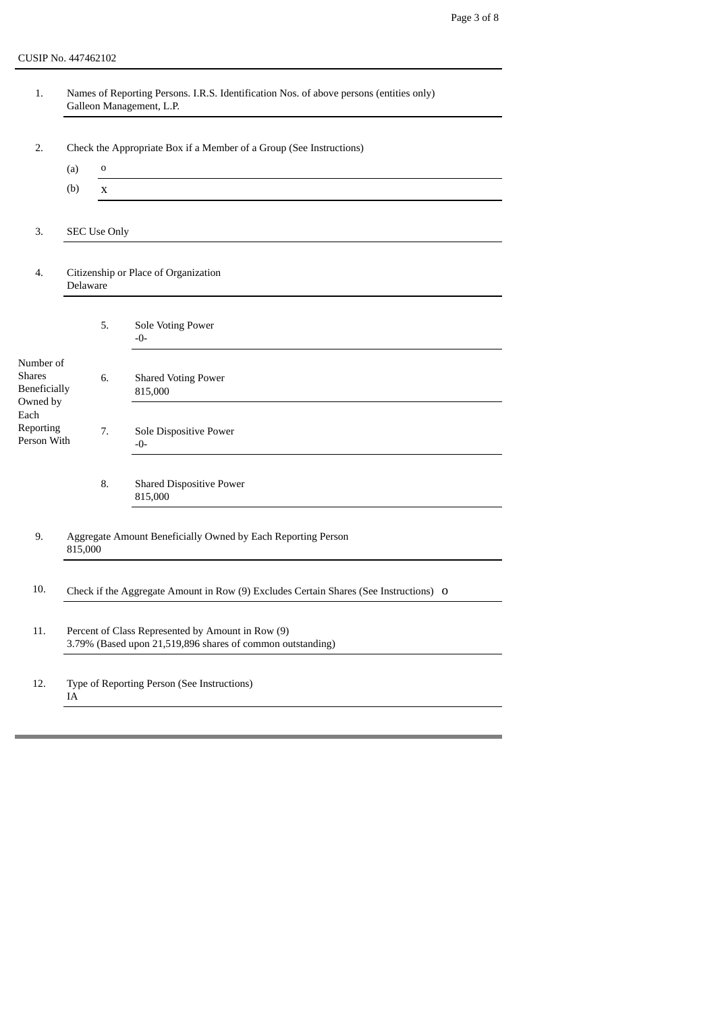CUSIP No. 447462102

| 1.                                                            |                                                                                       |                     | Names of Reporting Persons. I.R.S. Identification Nos. of above persons (entities only)<br>Galleon Management, L.P. |  |  |  |  |
|---------------------------------------------------------------|---------------------------------------------------------------------------------------|---------------------|---------------------------------------------------------------------------------------------------------------------|--|--|--|--|
| 2.                                                            | Check the Appropriate Box if a Member of a Group (See Instructions)                   |                     |                                                                                                                     |  |  |  |  |
|                                                               | (a)                                                                                   | 0                   |                                                                                                                     |  |  |  |  |
|                                                               | (b)                                                                                   | X                   |                                                                                                                     |  |  |  |  |
| 3.                                                            |                                                                                       | <b>SEC Use Only</b> |                                                                                                                     |  |  |  |  |
| 4.                                                            | Delaware                                                                              |                     | Citizenship or Place of Organization                                                                                |  |  |  |  |
|                                                               |                                                                                       | 5.                  | Sole Voting Power<br>$-0-$                                                                                          |  |  |  |  |
| Number of<br><b>Shares</b><br><b>Beneficially</b><br>Owned by |                                                                                       | 6.                  | <b>Shared Voting Power</b><br>815,000                                                                               |  |  |  |  |
| Each<br>Reporting<br>Person With                              |                                                                                       | 7.                  | Sole Dispositive Power<br>-0-                                                                                       |  |  |  |  |
|                                                               |                                                                                       | 8.                  | <b>Shared Dispositive Power</b><br>815,000                                                                          |  |  |  |  |
| 9.                                                            | 815,000                                                                               |                     | Aggregate Amount Beneficially Owned by Each Reporting Person                                                        |  |  |  |  |
| 10.                                                           | Check if the Aggregate Amount in Row (9) Excludes Certain Shares (See Instructions) O |                     |                                                                                                                     |  |  |  |  |
| 11.                                                           |                                                                                       |                     | Percent of Class Represented by Amount in Row (9)<br>3.79% (Based upon 21,519,896 shares of common outstanding)     |  |  |  |  |
| 12.                                                           | IA                                                                                    |                     | Type of Reporting Person (See Instructions)                                                                         |  |  |  |  |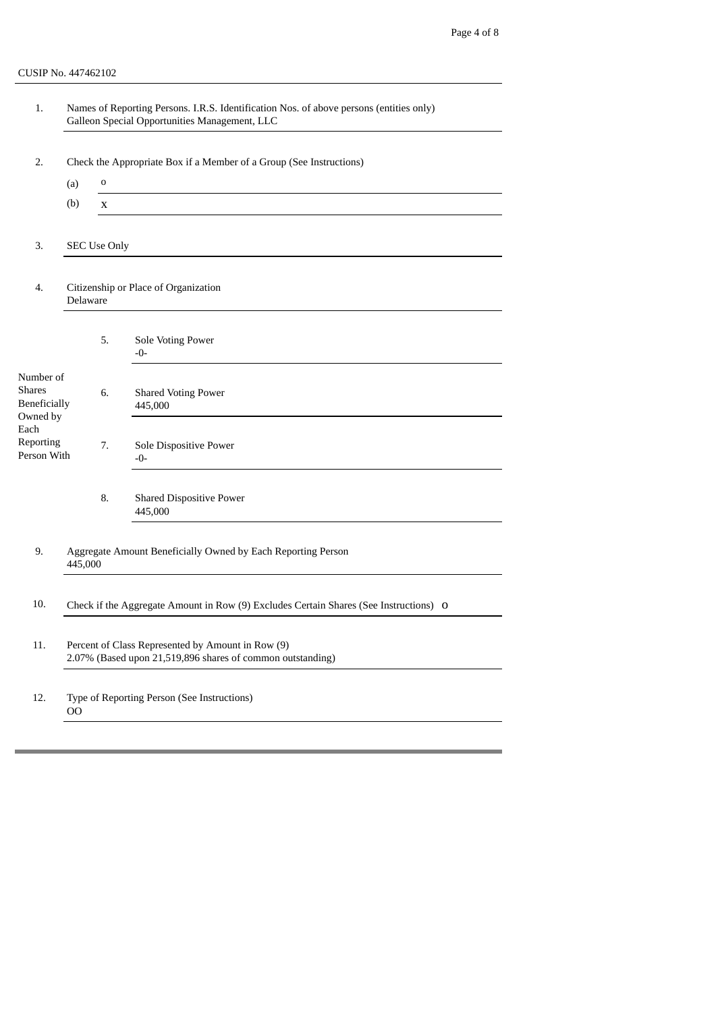| 1.                                                     |                                                                     |                     | Names of Reporting Persons. I.R.S. Identification Nos. of above persons (entities only)<br>Galleon Special Opportunities Management, LLC |  |  |  |  |
|--------------------------------------------------------|---------------------------------------------------------------------|---------------------|------------------------------------------------------------------------------------------------------------------------------------------|--|--|--|--|
| 2.                                                     | Check the Appropriate Box if a Member of a Group (See Instructions) |                     |                                                                                                                                          |  |  |  |  |
|                                                        | (a)                                                                 | o                   |                                                                                                                                          |  |  |  |  |
|                                                        | (b)                                                                 | X                   |                                                                                                                                          |  |  |  |  |
| 3.                                                     |                                                                     | <b>SEC Use Only</b> |                                                                                                                                          |  |  |  |  |
| 4.                                                     | Citizenship or Place of Organization<br>Delaware                    |                     |                                                                                                                                          |  |  |  |  |
|                                                        |                                                                     | 5.                  | Sole Voting Power<br>$-0-$                                                                                                               |  |  |  |  |
| Number of<br><b>Shares</b><br>Beneficially<br>Owned by |                                                                     | 6.                  | <b>Shared Voting Power</b><br>445,000                                                                                                    |  |  |  |  |
| Each<br>Reporting<br>Person With                       |                                                                     | 7.                  | Sole Dispositive Power<br>$-0-$                                                                                                          |  |  |  |  |
|                                                        |                                                                     | 8.                  | <b>Shared Dispositive Power</b><br>445,000                                                                                               |  |  |  |  |
| 9.                                                     | 445,000                                                             |                     | Aggregate Amount Beneficially Owned by Each Reporting Person                                                                             |  |  |  |  |
| 10.                                                    |                                                                     |                     | Check if the Aggregate Amount in Row (9) Excludes Certain Shares (See Instructions) O                                                    |  |  |  |  |
| 11.                                                    |                                                                     |                     | Percent of Class Represented by Amount in Row (9)<br>2.07% (Based upon 21,519,896 shares of common outstanding)                          |  |  |  |  |
| 12.                                                    | 00                                                                  |                     | Type of Reporting Person (See Instructions)                                                                                              |  |  |  |  |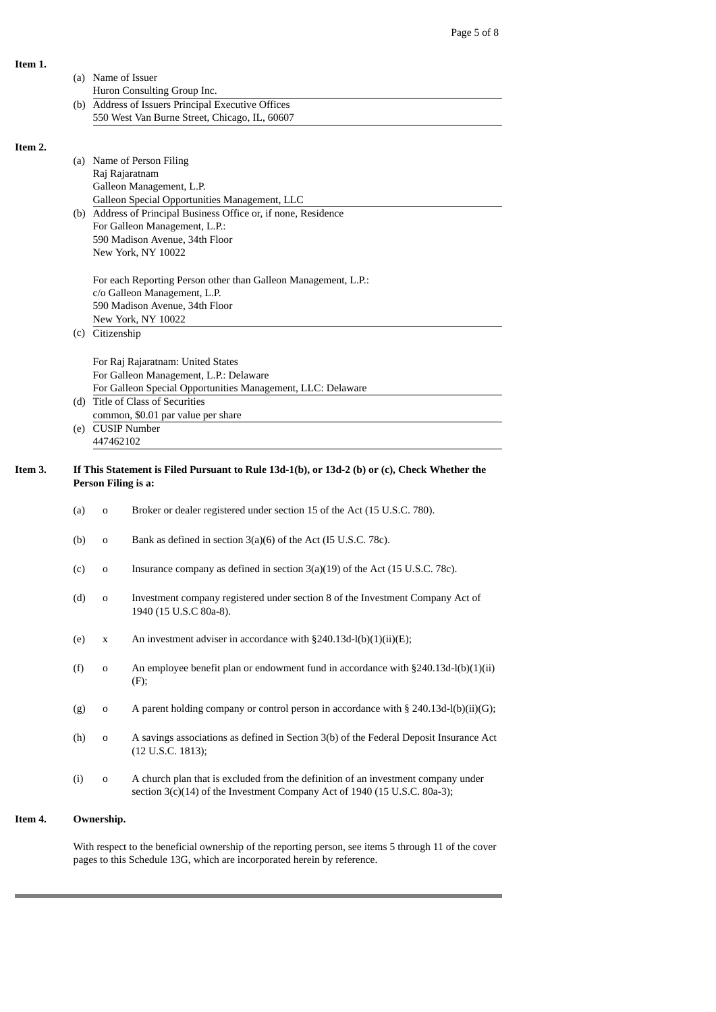|         |                                                                                                                     | (a) Name of Issuer<br>Huron Consulting Group Inc.                                                                                                                             |  |  |  |
|---------|---------------------------------------------------------------------------------------------------------------------|-------------------------------------------------------------------------------------------------------------------------------------------------------------------------------|--|--|--|
|         |                                                                                                                     | (b) Address of Issuers Principal Executive Offices                                                                                                                            |  |  |  |
|         |                                                                                                                     | 550 West Van Burne Street, Chicago, IL, 60607                                                                                                                                 |  |  |  |
|         |                                                                                                                     |                                                                                                                                                                               |  |  |  |
| Item 2. |                                                                                                                     |                                                                                                                                                                               |  |  |  |
|         |                                                                                                                     | (a) Name of Person Filing                                                                                                                                                     |  |  |  |
|         |                                                                                                                     | Raj Rajaratnam                                                                                                                                                                |  |  |  |
|         |                                                                                                                     | Galleon Management, L.P.                                                                                                                                                      |  |  |  |
|         |                                                                                                                     | Galleon Special Opportunities Management, LLC                                                                                                                                 |  |  |  |
|         |                                                                                                                     | (b) Address of Principal Business Office or, if none, Residence                                                                                                               |  |  |  |
|         |                                                                                                                     | For Galleon Management, L.P.:                                                                                                                                                 |  |  |  |
|         |                                                                                                                     |                                                                                                                                                                               |  |  |  |
|         |                                                                                                                     | 590 Madison Avenue, 34th Floor                                                                                                                                                |  |  |  |
|         |                                                                                                                     | New York, NY 10022                                                                                                                                                            |  |  |  |
|         |                                                                                                                     | For each Reporting Person other than Galleon Management, L.P.:                                                                                                                |  |  |  |
|         |                                                                                                                     | c/o Galleon Management, L.P.                                                                                                                                                  |  |  |  |
|         |                                                                                                                     | 590 Madison Avenue, 34th Floor                                                                                                                                                |  |  |  |
|         |                                                                                                                     | New York, NY 10022                                                                                                                                                            |  |  |  |
|         |                                                                                                                     | (c) Citizenship                                                                                                                                                               |  |  |  |
|         |                                                                                                                     |                                                                                                                                                                               |  |  |  |
|         |                                                                                                                     | For Raj Rajaratnam: United States                                                                                                                                             |  |  |  |
|         |                                                                                                                     | For Galleon Management, L.P.: Delaware                                                                                                                                        |  |  |  |
|         |                                                                                                                     | For Galleon Special Opportunities Management, LLC: Delaware                                                                                                                   |  |  |  |
|         |                                                                                                                     | (d) Title of Class of Securities                                                                                                                                              |  |  |  |
|         |                                                                                                                     | common, \$0.01 par value per share                                                                                                                                            |  |  |  |
|         |                                                                                                                     | (e) CUSIP Number                                                                                                                                                              |  |  |  |
|         |                                                                                                                     | 447462102                                                                                                                                                                     |  |  |  |
| Item 3. | If This Statement is Filed Pursuant to Rule 13d-1(b), or 13d-2 (b) or (c), Check Whether the<br>Person Filing is a: |                                                                                                                                                                               |  |  |  |
|         | (a)                                                                                                                 | Broker or dealer registered under section 15 of the Act (15 U.S.C. 780).<br>0                                                                                                 |  |  |  |
|         | (b)                                                                                                                 | Bank as defined in section 3(a)(6) of the Act (I5 U.S.C. 78c).<br>o                                                                                                           |  |  |  |
|         | (c)                                                                                                                 | Insurance company as defined in section 3(a)(19) of the Act (15 U.S.C. 78c).<br>o                                                                                             |  |  |  |
|         | (d)                                                                                                                 | Investment company registered under section 8 of the Investment Company Act of<br>o<br>1940 (15 U.S.C 80a-8).                                                                 |  |  |  |
|         | (e)                                                                                                                 | An investment adviser in accordance with §240.13d-l(b)(1)(ii)(E);<br>$\mathbf X$                                                                                              |  |  |  |
|         | (f)                                                                                                                 | An employee benefit plan or endowment fund in accordance with §240.13d-l(b)(1)(ii)<br>$\mathbf 0$<br>(F);                                                                     |  |  |  |
|         | (g)                                                                                                                 | A parent holding company or control person in accordance with § 240.13d-l(b)(ii)(G);<br>$\mathbf 0$                                                                           |  |  |  |
|         | (h)                                                                                                                 | A savings associations as defined in Section 3(b) of the Federal Deposit Insurance Act<br>$\mathbf 0$<br>(12 U.S.C. 1813);                                                    |  |  |  |
|         | (i)                                                                                                                 | A church plan that is excluded from the definition of an investment company under<br>$\mathbf 0$<br>section 3(c)(14) of the Investment Company Act of 1940 (15 U.S.C. 80a-3); |  |  |  |
| Item 4. |                                                                                                                     | Ownership.                                                                                                                                                                    |  |  |  |
|         |                                                                                                                     |                                                                                                                                                                               |  |  |  |
|         |                                                                                                                     | With respect to the beneficial ownership of the reporting person, see items 5 through 11 of the cover                                                                         |  |  |  |

pages to this Schedule 13G, which are incorporated herein by reference.

**Item 1.**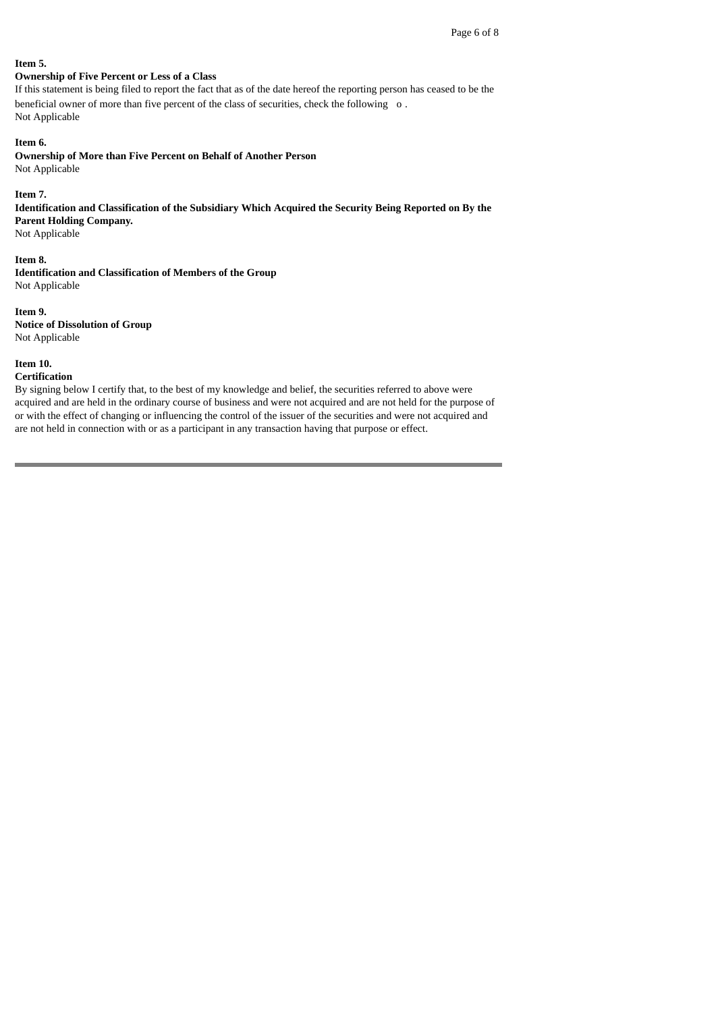#### **Item 5.**

# **Ownership of Five Percent or Less of a Class**

If this statement is being filed to report the fact that as of the date hereof the reporting person has ceased to be the beneficial owner of more than five percent of the class of securities, check the following o. Not Applicable

### **Item 6.**

**Ownership of More than Five Percent on Behalf of Another Person** Not Applicable

#### **Item 7.**

**Identification and Classification of the Subsidiary Which Acquired the Security Being Reported on By the Parent Holding Company.**

Not Applicable

### **Item 8.**

**Identification and Classification of Members of the Group** Not Applicable

# **Item 9. Notice of Dissolution of Group**

Not Applicable

# **Item 10.**

#### **Certification**

By signing below I certify that, to the best of my knowledge and belief, the securities referred to above were acquired and are held in the ordinary course of business and were not acquired and are not held for the purpose of or with the effect of changing or influencing the control of the issuer of the securities and were not acquired and are not held in connection with or as a participant in any transaction having that purpose or effect.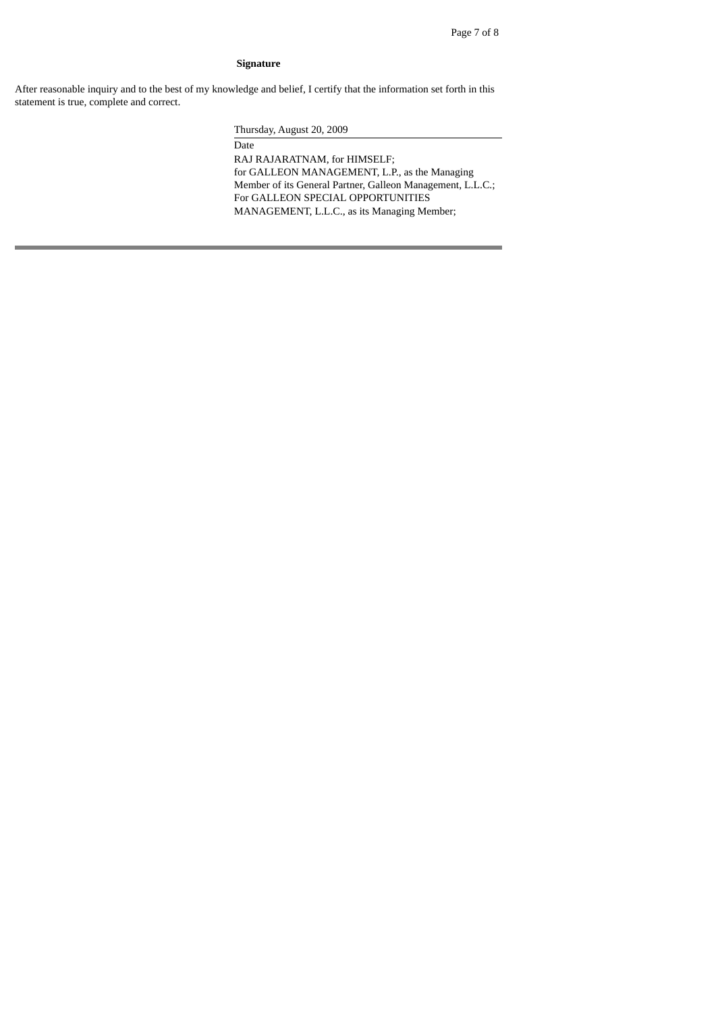### **Signature**

After reasonable inquiry and to the best of my knowledge and belief, I certify that the information set forth in this statement is true, complete and correct.

Thursday, August 20, 2009

Date RAJ RAJARATNAM, for HIMSELF; for GALLEON MANAGEMENT, L.P., as the Managing Member of its General Partner, Galleon Management, L.L.C.; For GALLEON SPECIAL OPPORTUNITIES MANAGEMENT, L.L.C., as its Managing Member;